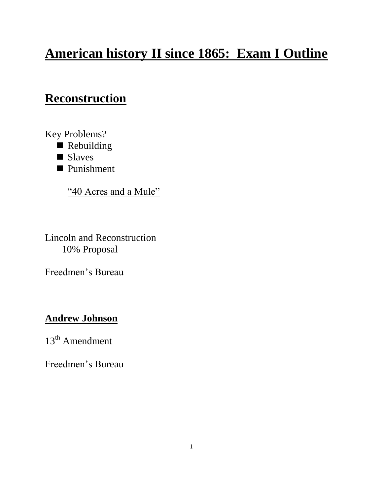# **American history II since 1865: Exam I Outline**

# **Reconstruction**

Key Problems?

- Rebuilding
- Slaves
- Punishment

"40 Acres and a Mule"

Lincoln and Reconstruction 10% Proposal

Freedmen's Bureau

### **Andrew Johnson**

 $13<sup>th</sup>$  Amendment

Freedmen's Bureau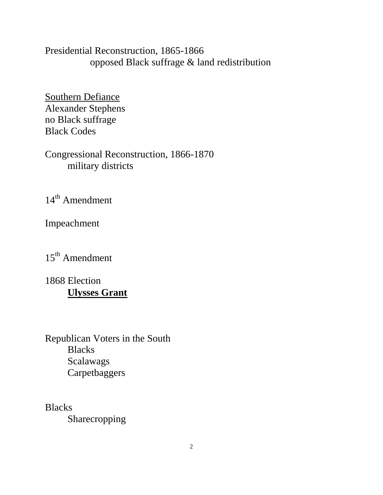Presidential Reconstruction, 1865-1866 opposed Black suffrage & land redistribution

Southern Defiance Alexander Stephens no Black suffrage Black Codes

Congressional Reconstruction, 1866-1870 military districts

 $14^{\text{th}}$  Amendment

Impeachment

15<sup>th</sup> Amendment

1868 Election **Ulysses Grant**

Republican Voters in the South Blacks Scalawags Carpetbaggers

**Blacks** Sharecropping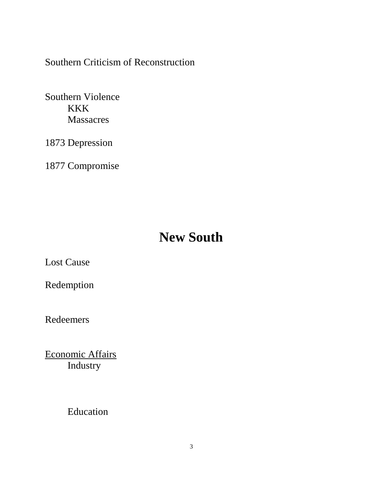Southern Criticism of Reconstruction

Southern Violence KKK Massacres

1873 Depression

1877 Compromise

# **New South**

Lost Cause

Redemption

Redeemers

Economic Affairs Industry

Education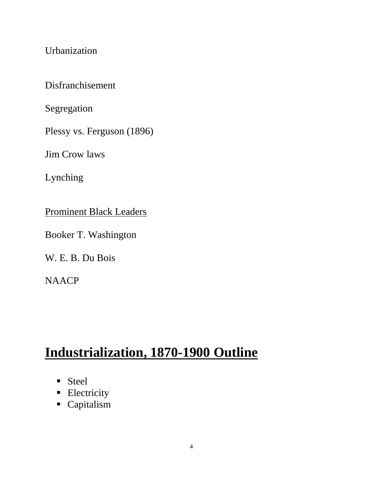Urbanization

Disfranchisement

Segregation

Plessy vs. Ferguson (1896)

Jim Crow laws

Lynching

Prominent Black Leaders

Booker T. Washington

W. E. B. Du Bois

**NAACP** 

# **Industrialization, 1870-1900 Outline**

- Steel
- **Electricity**
- Capitalism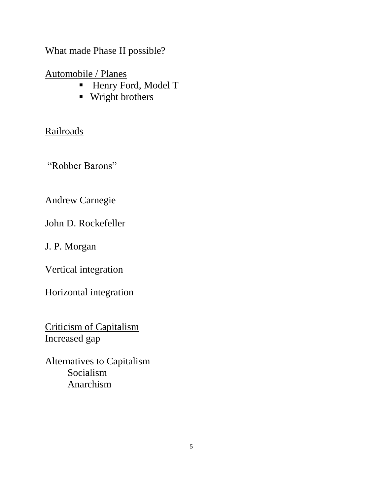What made Phase II possible?

Automobile / Planes

- Henry Ford, Model T
- **Wright brothers**

#### Railroads

"Robber Barons"

Andrew Carnegie

John D. Rockefeller

J. P. Morgan

Vertical integration

Horizontal integration

Criticism of Capitalism Increased gap

Alternatives to Capitalism Socialism Anarchism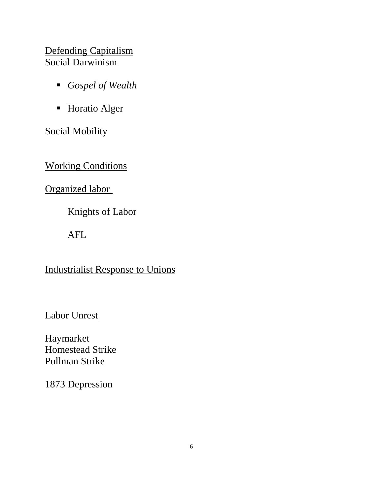#### Defending Capitalism Social Darwinism

- *Gospel of Wealth*
- **Horatio Alger**

Social Mobility

**Working Conditions** 

Organized labor

Knights of Labor

AFL

Industrialist Response to Unions

Labor Unrest

Haymarket Homestead Strike Pullman Strike

1873 Depression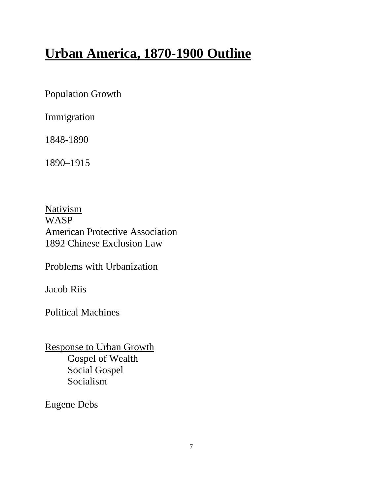# **Urban America, 1870-1900 Outline**

Population Growth

Immigration

1848-1890

1890–1915

**Nativism** WASP American Protective Association 1892 Chinese Exclusion Law

Problems with Urbanization

Jacob Riis

Political Machines

Response to Urban Growth Gospel of Wealth Social Gospel Socialism

Eugene Debs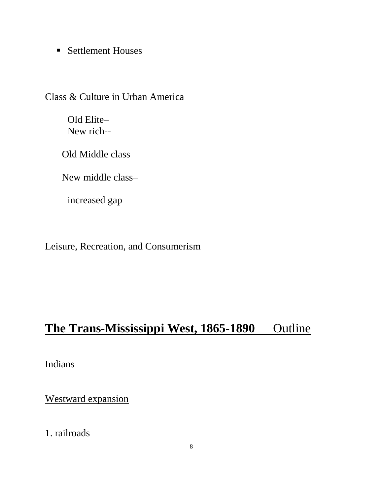**Settlement Houses** 

Class & Culture in Urban America

Old Elite– New rich--

Old Middle class

New middle class–

increased gap

Leisure, Recreation, and Consumerism

## The Trans-Mississippi West, 1865-1890 Outline

Indians

Westward expansion

1. railroads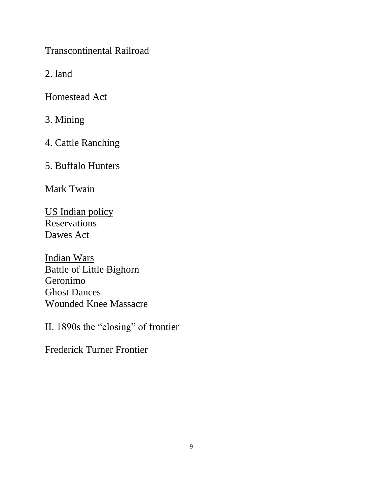Transcontinental Railroad

2. land

Homestead Act

3. Mining

4. Cattle Ranching

5. Buffalo Hunters

Mark Twain

US Indian policy Reservations Dawes Act

Indian Wars Battle of Little Bighorn Geronimo Ghost Dances Wounded Knee Massacre

II. 1890s the "closing" of frontier

Frederick Turner Frontier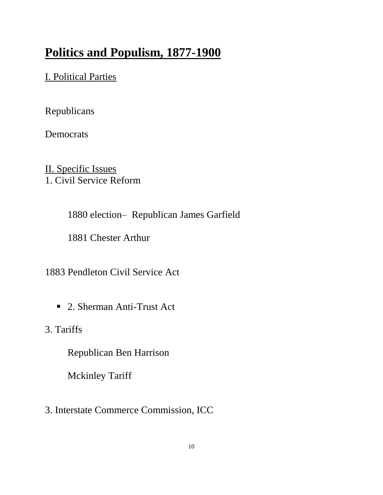# **Politics and Populism, 1877-1900**

### I. Political Parties

Republicans

**Democrats** 

II. Specific Issues 1. Civil Service Reform

1880 election– Republican James Garfield

1881 Chester Arthur

1883 Pendleton Civil Service Act

■ 2. Sherman Anti-Trust Act

3. Tariffs

Republican Ben Harrison

Mckinley Tariff

3. Interstate Commerce Commission, ICC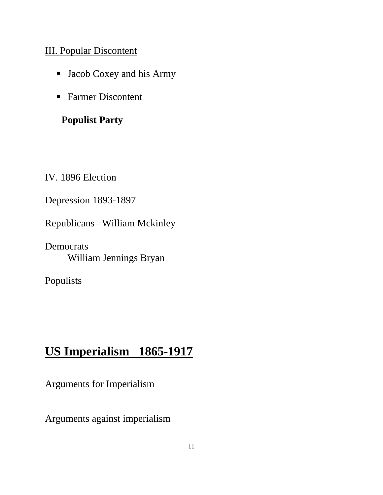#### III. Popular Discontent

- Jacob Coxey and his Army
- Farmer Discontent

### **Populist Party**

IV. 1896 Election

Depression 1893-1897

Republicans– William Mckinley

**Democrats** William Jennings Bryan

Populists

# **US Imperialism 1865-1917**

Arguments for Imperialism

Arguments against imperialism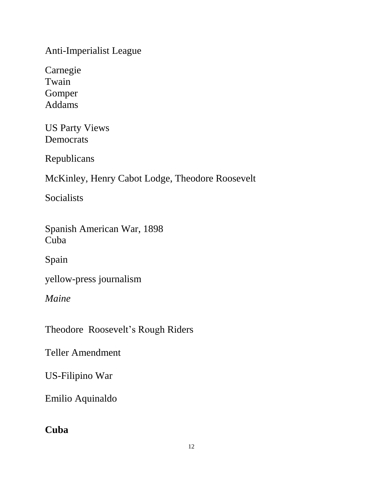Anti-Imperialist League

Carnegie Twain Gomper Addams

US Party Views Democrats

Republicans

McKinley, Henry Cabot Lodge, Theodore Roosevelt

Socialists

Spanish American War, 1898 Cuba

Spain

yellow-press journalism

*Maine*

Theodore Roosevelt's Rough Riders

Teller Amendment

US-Filipino War

Emilio Aquinaldo

### **Cuba**